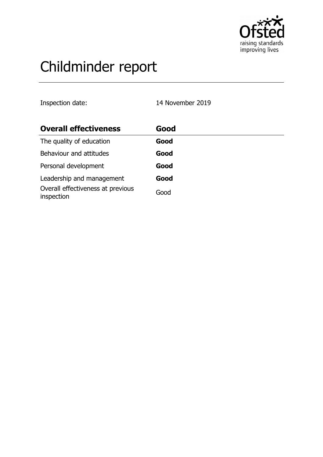

# Childminder report

Inspection date: 14 November 2019

| <b>Overall effectiveness</b>                    | Good |  |
|-------------------------------------------------|------|--|
| The quality of education                        | Good |  |
| Behaviour and attitudes                         | Good |  |
| Personal development                            | Good |  |
| Leadership and management                       | Good |  |
| Overall effectiveness at previous<br>inspection | Good |  |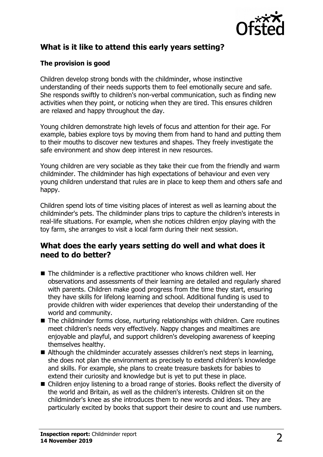

# **What is it like to attend this early years setting?**

### **The provision is good**

Children develop strong bonds with the childminder, whose instinctive understanding of their needs supports them to feel emotionally secure and safe. She responds swiftly to children's non-verbal communication, such as finding new activities when they point, or noticing when they are tired. This ensures children are relaxed and happy throughout the day.

Young children demonstrate high levels of focus and attention for their age. For example, babies explore toys by moving them from hand to hand and putting them to their mouths to discover new textures and shapes. They freely investigate the safe environment and show deep interest in new resources.

Young children are very sociable as they take their cue from the friendly and warm childminder. The childminder has high expectations of behaviour and even very young children understand that rules are in place to keep them and others safe and happy.

Children spend lots of time visiting places of interest as well as learning about the childminder's pets. The childminder plans trips to capture the children's interests in real-life situations. For example, when she notices children enjoy playing with the toy farm, she arranges to visit a local farm during their next session.

## **What does the early years setting do well and what does it need to do better?**

- $\blacksquare$  The childminder is a reflective practitioner who knows children well. Her observations and assessments of their learning are detailed and regularly shared with parents. Children make good progress from the time they start, ensuring they have skills for lifelong learning and school. Additional funding is used to provide children with wider experiences that develop their understanding of the world and community.
- $\blacksquare$  The childminder forms close, nurturing relationships with children. Care routines meet children's needs very effectively. Nappy changes and mealtimes are enjoyable and playful, and support children's developing awareness of keeping themselves healthy.
- $\blacksquare$  Although the childminder accurately assesses children's next steps in learning, she does not plan the environment as precisely to extend children's knowledge and skills. For example, she plans to create treasure baskets for babies to extend their curiosity and knowledge but is yet to put these in place.
- Children enjoy listening to a broad range of stories. Books reflect the diversity of the world and Britain, as well as the children's interests. Children sit on the childminder's knee as she introduces them to new words and ideas. They are particularly excited by books that support their desire to count and use numbers.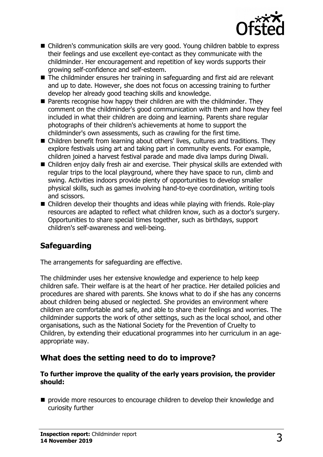

- Children's communication skills are very good. Young children babble to express their feelings and use excellent eye-contact as they communicate with the childminder. Her encouragement and repetition of key words supports their growing self-confidence and self-esteem.
- The childminder ensures her training in safeguarding and first aid are relevant and up to date. However, she does not focus on accessing training to further develop her already good teaching skills and knowledge.
- $\blacksquare$  Parents recognise how happy their children are with the childminder. They comment on the childminder's good communication with them and how they feel included in what their children are doing and learning. Parents share regular photographs of their children's achievements at home to support the childminder's own assessments, such as crawling for the first time.
- Children benefit from learning about others' lives, cultures and traditions. They explore festivals using art and taking part in community events. For example, children joined a harvest festival parade and made diva lamps during Diwali.
- $\blacksquare$  Children enjoy daily fresh air and exercise. Their physical skills are extended with regular trips to the local playground, where they have space to run, climb and swing. Activities indoors provide plenty of opportunities to develop smaller physical skills, such as games involving hand-to-eye coordination, writing tools and scissors.
- $\blacksquare$  Children develop their thoughts and ideas while playing with friends. Role-play resources are adapted to reflect what children know, such as a doctor's surgery. Opportunities to share special times together, such as birthdays, support children's self-awareness and well-being.

# **Safeguarding**

The arrangements for safeguarding are effective.

The childminder uses her extensive knowledge and experience to help keep children safe. Their welfare is at the heart of her practice. Her detailed policies and procedures are shared with parents. She knows what to do if she has any concerns about children being abused or neglected. She provides an environment where children are comfortable and safe, and able to share their feelings and worries. The childminder supports the work of other settings, such as the local school, and other organisations, such as the National Society for the Prevention of Cruelty to Children, by extending their educational programmes into her curriculum in an ageappropriate way.

## **What does the setting need to do to improve?**

#### **To further improve the quality of the early years provision, the provider should:**

 $\blacksquare$  provide more resources to encourage children to develop their knowledge and curiosity further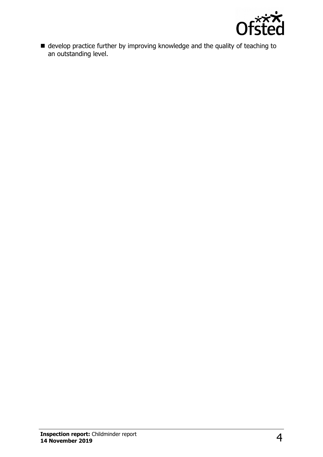

 $\blacksquare$  develop practice further by improving knowledge and the quality of teaching to an outstanding level.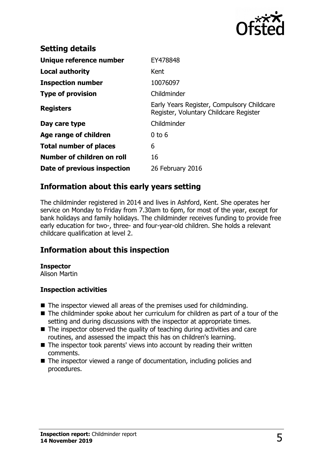

| <b>Setting details</b>        |                                                                                      |
|-------------------------------|--------------------------------------------------------------------------------------|
| Unique reference number       | EY478848                                                                             |
| <b>Local authority</b>        | Kent                                                                                 |
| <b>Inspection number</b>      | 10076097                                                                             |
| <b>Type of provision</b>      | Childminder                                                                          |
| <b>Registers</b>              | Early Years Register, Compulsory Childcare<br>Register, Voluntary Childcare Register |
| Day care type                 | Childminder                                                                          |
| Age range of children         | $0$ to $6$                                                                           |
| <b>Total number of places</b> | 6                                                                                    |
| Number of children on roll    | 16                                                                                   |
| Date of previous inspection   | 26 February 2016                                                                     |

## **Information about this early years setting**

The childminder registered in 2014 and lives in Ashford, Kent. She operates her service on Monday to Friday from 7.30am to 6pm, for most of the year, except for bank holidays and family holidays. The childminder receives funding to provide free early education for two-, three- and four-year-old children. She holds a relevant childcare qualification at level 2.

# **Information about this inspection**

#### **Inspector**

Alison Martin

#### **Inspection activities**

- $\blacksquare$  The inspector viewed all areas of the premises used for childminding.
- $\blacksquare$  The childminder spoke about her curriculum for children as part of a tour of the setting and during discussions with the inspector at appropriate times.
- $\blacksquare$  The inspector observed the quality of teaching during activities and care routines, and assessed the impact this has on children's learning.
- $\blacksquare$  The inspector took parents' views into account by reading their written comments.
- $\blacksquare$  The inspector viewed a range of documentation, including policies and procedures.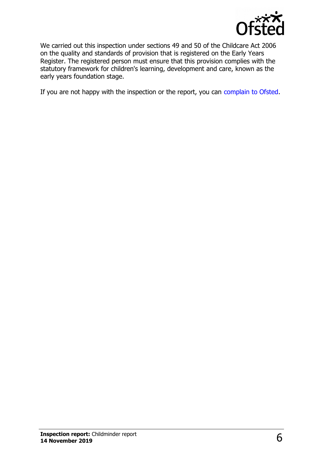

We carried out this inspection under sections 49 and 50 of the Childcare Act 2006 on the quality and standards of provision that is registered on the Early Years Register. The registered person must ensure that this provision complies with the statutory framework for children's learning, development and care, known as the early years foundation stage.

If you are not happy with the inspection or the report, you can [complain to Ofsted.](http://www.gov.uk/complain-ofsted-report)